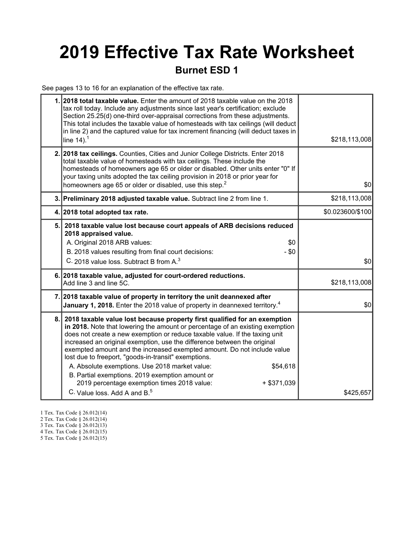# 2019 Effective Tax Rate Worksheet

### Burnet ESD 1

See pages 13 to 16 for an explanation of the effective tax rate.

| 1. 2018 total taxable value. Enter the amount of 2018 taxable value on the 2018<br>tax roll today. Include any adjustments since last year's certification; exclude<br>Section 25.25(d) one-third over-appraisal corrections from these adjustments.<br>This total includes the taxable value of homesteads with tax ceilings (will deduct<br>in line 2) and the captured value for tax increment financing (will deduct taxes in<br>line $14$ ). <sup>1</sup>                                                                                                                                                                                                                           | \$218,113,008    |
|------------------------------------------------------------------------------------------------------------------------------------------------------------------------------------------------------------------------------------------------------------------------------------------------------------------------------------------------------------------------------------------------------------------------------------------------------------------------------------------------------------------------------------------------------------------------------------------------------------------------------------------------------------------------------------------|------------------|
| 2. 2018 tax ceilings. Counties, Cities and Junior College Districts. Enter 2018<br>total taxable value of homesteads with tax ceilings. These include the<br>homesteads of homeowners age 65 or older or disabled. Other units enter "0" If<br>your taxing units adopted the tax ceiling provision in 2018 or prior year for<br>homeowners age 65 or older or disabled, use this step. <sup>2</sup>                                                                                                                                                                                                                                                                                      | \$0              |
| 3. Preliminary 2018 adjusted taxable value. Subtract line 2 from line 1.                                                                                                                                                                                                                                                                                                                                                                                                                                                                                                                                                                                                                 | \$218,113,008    |
| 4. 2018 total adopted tax rate.                                                                                                                                                                                                                                                                                                                                                                                                                                                                                                                                                                                                                                                          | \$0.023600/\$100 |
| 5. 2018 taxable value lost because court appeals of ARB decisions reduced<br>2018 appraised value.<br>A. Original 2018 ARB values:<br>\$0<br>B. 2018 values resulting from final court decisions:<br>$- $0$<br>C. 2018 value loss. Subtract B from A. <sup>3</sup>                                                                                                                                                                                                                                                                                                                                                                                                                       | \$0              |
| 6. 2018 taxable value, adjusted for court-ordered reductions.<br>Add line 3 and line 5C.                                                                                                                                                                                                                                                                                                                                                                                                                                                                                                                                                                                                 | \$218,113,008    |
| 7. 2018 taxable value of property in territory the unit deannexed after<br>January 1, 2018. Enter the 2018 value of property in deannexed territory. <sup>4</sup>                                                                                                                                                                                                                                                                                                                                                                                                                                                                                                                        | \$0              |
| 8. 2018 taxable value lost because property first qualified for an exemption<br>in 2018. Note that lowering the amount or percentage of an existing exemption<br>does not create a new exemption or reduce taxable value. If the taxing unit<br>increased an original exemption, use the difference between the original<br>exempted amount and the increased exempted amount. Do not include value<br>lost due to freeport, "goods-in-transit" exemptions.<br>A. Absolute exemptions. Use 2018 market value:<br>\$54,618<br>B. Partial exemptions. 2019 exemption amount or<br>2019 percentage exemption times 2018 value:<br>$+$ \$371,039<br>C. Value loss, Add A and B. <sup>5</sup> | \$425,657        |

- 1 Tex. Tax Code § 26.012(14)
- 2 Tex. Tax Code § 26.012(14)
- 3 Tex. Tax Code § 26.012(13)
- 4 Tex. Tax Code § 26.012(15)
- 5 Tex. Tax Code § 26.012(15)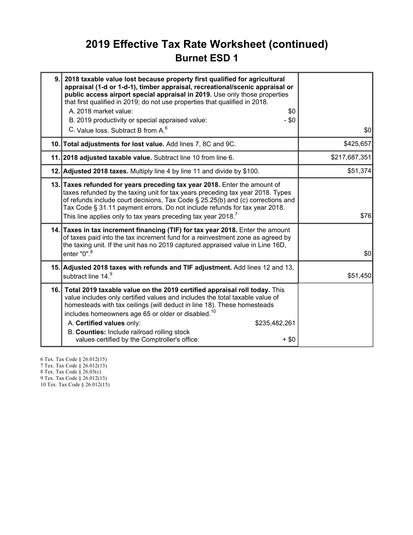### 2019 Effective Tax Rate Worksheet (continued) Burnet ESD 1

| 9.  | 2018 taxable value lost because property first qualified for agricultural<br>appraisal (1-d or 1-d-1), timber appraisal, recreational/scenic appraisal or<br>public access airport special appraisal in 2019. Use only those properties<br>that first qualified in 2019; do not use properties that qualified in 2018.<br>A. 2018 market value:<br>\$0<br>B. 2019 productivity or special appraised value:<br>- \$0<br>C. Value loss. Subtract B from A. <sup>6</sup> | \$0           |
|-----|-----------------------------------------------------------------------------------------------------------------------------------------------------------------------------------------------------------------------------------------------------------------------------------------------------------------------------------------------------------------------------------------------------------------------------------------------------------------------|---------------|
|     | 10. Total adjustments for lost value. Add lines 7, 8C and 9C.                                                                                                                                                                                                                                                                                                                                                                                                         | \$425,657     |
|     | 11. 2018 adjusted taxable value. Subtract line 10 from line 6.                                                                                                                                                                                                                                                                                                                                                                                                        | \$217,687,351 |
|     | 12. Adjusted 2018 taxes. Multiply line 4 by line 11 and divide by \$100.                                                                                                                                                                                                                                                                                                                                                                                              | \$51,374      |
|     | 13. Taxes refunded for years preceding tax year 2018. Enter the amount of<br>taxes refunded by the taxing unit for tax years preceding tax year 2018. Types<br>of refunds include court decisions, Tax Code § 25.25(b) and (c) corrections and<br>Tax Code § 31.11 payment errors. Do not include refunds for tax year 2018.<br>This line applies only to tax years preceding tax year 2018. <sup>7</sup>                                                             | \$76          |
|     | 14. Taxes in tax increment financing (TIF) for tax year 2018. Enter the amount<br>of taxes paid into the tax increment fund for a reinvestment zone as agreed by<br>the taxing unit. If the unit has no 2019 captured appraised value in Line 16D,<br>enter $"0"$ . $^8$                                                                                                                                                                                              | \$0           |
|     | 15. Adjusted 2018 taxes with refunds and TIF adjustment. Add lines 12 and 13,<br>subtract line 14.9                                                                                                                                                                                                                                                                                                                                                                   | \$51,450      |
| 16. | Total 2019 taxable value on the 2019 certified appraisal roll today. This<br>value includes only certified values and includes the total taxable value of<br>homesteads with tax ceilings (will deduct in line 18). These homesteads<br>includes homeowners age 65 or older or disabled. <sup>10</sup><br>A. Certified values only:<br>\$235,482,261<br>B. Counties: Include railroad rolling stock<br>values certified by the Comptroller's office:<br>$+$ \$0       |               |

6 Tex. Tax Code § 26.012(15) 7 Tex. Tax Code § 26.012(13) 8 Tex. Tax Code § 26.03(c)

9 Tex. Tax Code § 26.012(13)

10 Tex. Tax Code § 26.012(15)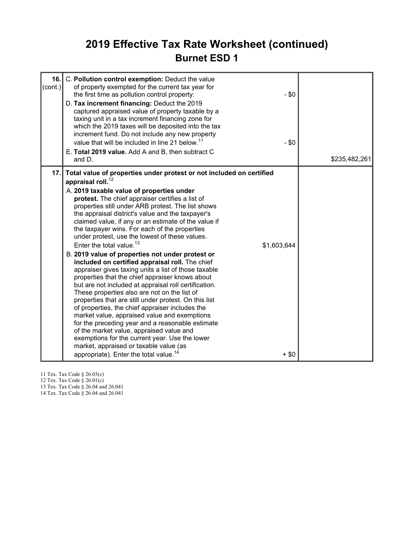### 2019 Effective Tax Rate Worksheet (continued) Burnet ESD 1

| 16.<br>(cont.) | C. Pollution control exemption: Deduct the value<br>of property exempted for the current tax year for<br>the first time as pollution control property:<br>D. Tax increment financing: Deduct the 2019<br>captured appraised value of property taxable by a<br>taxing unit in a tax increment financing zone for<br>which the 2019 taxes will be deposited into the tax<br>increment fund. Do not include any new property<br>value that will be included in line 21 below. <sup>11</sup><br>E. Total 2019 value. Add A and B, then subtract C<br>and D.                                                                                                                                                                                                                                                                                                                                                                                                                                                                                                                                                                                                                                                                                                             | $-$ \$0<br>$-$ \$0 | \$235,482,261 |
|----------------|---------------------------------------------------------------------------------------------------------------------------------------------------------------------------------------------------------------------------------------------------------------------------------------------------------------------------------------------------------------------------------------------------------------------------------------------------------------------------------------------------------------------------------------------------------------------------------------------------------------------------------------------------------------------------------------------------------------------------------------------------------------------------------------------------------------------------------------------------------------------------------------------------------------------------------------------------------------------------------------------------------------------------------------------------------------------------------------------------------------------------------------------------------------------------------------------------------------------------------------------------------------------|--------------------|---------------|
| 17.            | Total value of properties under protest or not included on certified<br>appraisal roll. $12$<br>A. 2019 taxable value of properties under<br>protest. The chief appraiser certifies a list of<br>properties still under ARB protest. The list shows<br>the appraisal district's value and the taxpayer's<br>claimed value, if any or an estimate of the value if<br>the taxpayer wins. For each of the properties<br>under protest, use the lowest of these values.<br>Enter the total value. <sup>13</sup><br>\$1,603,644<br>B. 2019 value of properties not under protest or<br>included on certified appraisal roll. The chief<br>appraiser gives taxing units a list of those taxable<br>properties that the chief appraiser knows about<br>but are not included at appraisal roll certification.<br>These properties also are not on the list of<br>properties that are still under protest. On this list<br>of properties, the chief appraiser includes the<br>market value, appraised value and exemptions<br>for the preceding year and a reasonable estimate<br>of the market value, appraised value and<br>exemptions for the current year. Use the lower<br>market, appraised or taxable value (as<br>appropriate). Enter the total value. <sup>14</sup> | $+$ \$0            |               |

11 Tex. Tax Code § 26.03(c)

12 Tex. Tax Code § 26.01(c)

13 Tex. Tax Code § 26.04 and 26.041

14 Tex. Tax Code § 26.04 and 26.041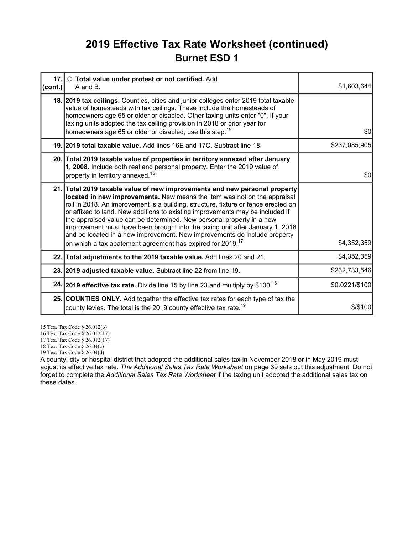### 2019 Effective Tax Rate Worksheet (continued) Burnet ESD 1

| cont. | 17. C. Total value under protest or not certified. Add<br>A and B.                                                                                                                                                                                                                                                                                                                                                                                                                                                                                                                                                                             | \$1,603,644    |
|-------|------------------------------------------------------------------------------------------------------------------------------------------------------------------------------------------------------------------------------------------------------------------------------------------------------------------------------------------------------------------------------------------------------------------------------------------------------------------------------------------------------------------------------------------------------------------------------------------------------------------------------------------------|----------------|
|       | 18. 2019 tax ceilings. Counties, cities and junior colleges enter 2019 total taxable<br>value of homesteads with tax ceilings. These include the homesteads of<br>homeowners age 65 or older or disabled. Other taxing units enter "0". If your<br>taxing units adopted the tax ceiling provision in 2018 or prior year for<br>homeowners age 65 or older or disabled, use this step. <sup>15</sup>                                                                                                                                                                                                                                            | \$0            |
|       | 19. 2019 total taxable value. Add lines 16E and 17C. Subtract line 18.                                                                                                                                                                                                                                                                                                                                                                                                                                                                                                                                                                         | \$237,085,905  |
|       | 20. Total 2019 taxable value of properties in territory annexed after January<br>1, 2008. Include both real and personal property. Enter the 2019 value of<br>property in territory annexed. <sup>16</sup>                                                                                                                                                                                                                                                                                                                                                                                                                                     | \$0            |
|       | 21. Total 2019 taxable value of new improvements and new personal property<br>located in new improvements. New means the item was not on the appraisal<br>roll in 2018. An improvement is a building, structure, fixture or fence erected on<br>or affixed to land. New additions to existing improvements may be included if<br>the appraised value can be determined. New personal property in a new<br>improvement must have been brought into the taxing unit after January 1, 2018<br>and be located in a new improvement. New improvements do include property<br>on which a tax abatement agreement has expired for 2019. <sup>17</sup> | \$4,352,359    |
|       | 22. Total adjustments to the 2019 taxable value. Add lines 20 and 21.                                                                                                                                                                                                                                                                                                                                                                                                                                                                                                                                                                          | \$4,352,359    |
|       | 23. 2019 adjusted taxable value. Subtract line 22 from line 19.                                                                                                                                                                                                                                                                                                                                                                                                                                                                                                                                                                                | \$232,733,546  |
|       | 24. 2019 effective tax rate. Divide line 15 by line 23 and multiply by \$100. <sup>18</sup>                                                                                                                                                                                                                                                                                                                                                                                                                                                                                                                                                    | \$0.0221/\$100 |
|       | 25. COUNTIES ONLY. Add together the effective tax rates for each type of tax the<br>county levies. The total is the 2019 county effective tax rate. <sup>19</sup>                                                                                                                                                                                                                                                                                                                                                                                                                                                                              | $$$ /\$100     |

15 Tex. Tax Code § 26.012(6)

16 Tex. Tax Code § 26.012(17)

17 Tex. Tax Code § 26.012(17)

18 Tex. Tax Code § 26.04(c)

19 Tex. Tax Code § 26.04(d)

A county, city or hospital district that adopted the additional sales tax in November 2018 or in May 2019 must adjust its effective tax rate. The Additional Sales Tax Rate Worksheet on page 39 sets out this adjustment. Do not forget to complete the Additional Sales Tax Rate Worksheet if the taxing unit adopted the additional sales tax on these dates.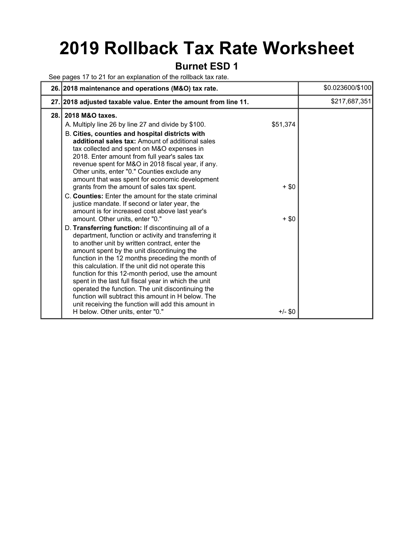## 2019 Rollback Tax Rate Worksheet

#### Burnet ESD 1

See pages 17 to 21 for an explanation of the rollback tax rate.

|     | 26. 2018 maintenance and operations (M&O) tax rate.                                                                                                                                                                                                                                                                                                                                                                                                                                                                                                                                                                                                                                                                                                                                                                                                                                             |                                | \$0.023600/\$100 |
|-----|-------------------------------------------------------------------------------------------------------------------------------------------------------------------------------------------------------------------------------------------------------------------------------------------------------------------------------------------------------------------------------------------------------------------------------------------------------------------------------------------------------------------------------------------------------------------------------------------------------------------------------------------------------------------------------------------------------------------------------------------------------------------------------------------------------------------------------------------------------------------------------------------------|--------------------------------|------------------|
|     | 27. 2018 adjusted taxable value. Enter the amount from line 11.                                                                                                                                                                                                                                                                                                                                                                                                                                                                                                                                                                                                                                                                                                                                                                                                                                 |                                | \$217,687,351    |
| 28. | 2018 M&O taxes.<br>A. Multiply line 26 by line 27 and divide by \$100.<br>B. Cities, counties and hospital districts with<br>additional sales tax: Amount of additional sales<br>tax collected and spent on M&O expenses in<br>2018. Enter amount from full year's sales tax<br>revenue spent for M&O in 2018 fiscal year, if any.<br>Other units, enter "0." Counties exclude any<br>amount that was spent for economic development<br>grants from the amount of sales tax spent.<br>C. Counties: Enter the amount for the state criminal<br>justice mandate. If second or later year, the<br>amount is for increased cost above last year's<br>amount. Other units, enter "0."<br>D. Transferring function: If discontinuing all of a<br>department, function or activity and transferring it<br>to another unit by written contract, enter the<br>amount spent by the unit discontinuing the | \$51,374<br>$+$ \$0<br>$+$ \$0 |                  |
|     | function in the 12 months preceding the month of<br>this calculation. If the unit did not operate this<br>function for this 12-month period, use the amount<br>spent in the last full fiscal year in which the unit<br>operated the function. The unit discontinuing the<br>function will subtract this amount in H below. The<br>unit receiving the function will add this amount in<br>H below. Other units, enter "0."                                                                                                                                                                                                                                                                                                                                                                                                                                                                       | $+/-$ \$0                      |                  |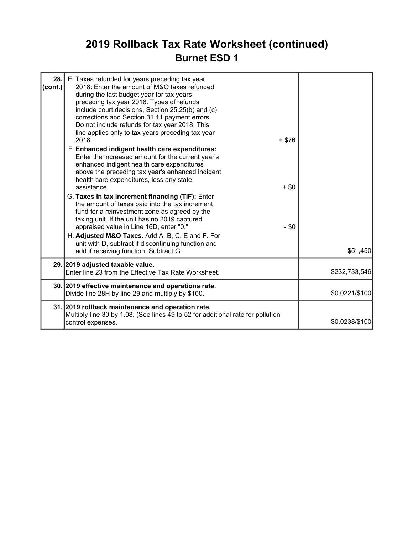### 2019 Rollback Tax Rate Worksheet (continued) Burnet ESD 1

| 28.<br> cont. | E. Taxes refunded for years preceding tax year<br>2018: Enter the amount of M&O taxes refunded<br>during the last budget year for tax years<br>preceding tax year 2018. Types of refunds<br>include court decisions, Section 25.25(b) and (c)<br>corrections and Section 31.11 payment errors.<br>Do not include refunds for tax year 2018. This<br>line applies only to tax years preceding tax year<br>2018.<br>F. Enhanced indigent health care expenditures:<br>Enter the increased amount for the current year's<br>enhanced indigent health care expenditures<br>above the preceding tax year's enhanced indigent<br>health care expenditures, less any state<br>assistance.<br>G. Taxes in tax increment financing (TIF): Enter<br>the amount of taxes paid into the tax increment<br>fund for a reinvestment zone as agreed by the<br>taxing unit. If the unit has no 2019 captured<br>appraised value in Line 16D, enter "0."<br>H. Adjusted M&O Taxes. Add A, B, C, E and F. For<br>unit with D, subtract if discontinuing function and<br>add if receiving function. Subtract G. | $+ $76$<br>$+$ \$0<br>$-$ \$0 | \$51,450       |
|---------------|---------------------------------------------------------------------------------------------------------------------------------------------------------------------------------------------------------------------------------------------------------------------------------------------------------------------------------------------------------------------------------------------------------------------------------------------------------------------------------------------------------------------------------------------------------------------------------------------------------------------------------------------------------------------------------------------------------------------------------------------------------------------------------------------------------------------------------------------------------------------------------------------------------------------------------------------------------------------------------------------------------------------------------------------------------------------------------------------|-------------------------------|----------------|
|               | 29. 2019 adjusted taxable value.<br>Enter line 23 from the Effective Tax Rate Worksheet.                                                                                                                                                                                                                                                                                                                                                                                                                                                                                                                                                                                                                                                                                                                                                                                                                                                                                                                                                                                                    |                               | \$232,733,546  |
|               | 30. 2019 effective maintenance and operations rate.<br>Divide line 28H by line 29 and multiply by \$100.                                                                                                                                                                                                                                                                                                                                                                                                                                                                                                                                                                                                                                                                                                                                                                                                                                                                                                                                                                                    |                               | \$0.0221/\$100 |
|               | 31. 2019 rollback maintenance and operation rate.<br>Multiply line 30 by 1.08. (See lines 49 to 52 for additional rate for pollution<br>control expenses.                                                                                                                                                                                                                                                                                                                                                                                                                                                                                                                                                                                                                                                                                                                                                                                                                                                                                                                                   |                               | \$0.0238/\$100 |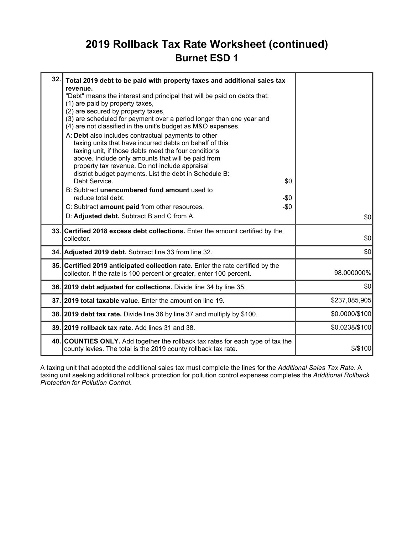### 2019 Rollback Tax Rate Worksheet (continued) Burnet ESD 1

| 32.1 | Total 2019 debt to be paid with property taxes and additional sales tax<br>revenue.<br>"Debt" means the interest and principal that will be paid on debts that:<br>(1) are paid by property taxes,<br>(2) are secured by property taxes,<br>(3) are scheduled for payment over a period longer than one year and<br>(4) are not classified in the unit's budget as M&O expenses.<br>A: Debt also includes contractual payments to other<br>taxing units that have incurred debts on behalf of this<br>taxing unit, if those debts meet the four conditions<br>above. Include only amounts that will be paid from<br>property tax revenue. Do not include appraisal<br>district budget payments. List the debt in Schedule B:<br>Debt Service.<br>\$0<br>B: Subtract unencumbered fund amount used to<br>reduce total debt.<br>-\$0<br>C: Subtract amount paid from other resources.<br>$-\$0$<br>D: Adjusted debt. Subtract B and C from A. | \$0            |
|------|---------------------------------------------------------------------------------------------------------------------------------------------------------------------------------------------------------------------------------------------------------------------------------------------------------------------------------------------------------------------------------------------------------------------------------------------------------------------------------------------------------------------------------------------------------------------------------------------------------------------------------------------------------------------------------------------------------------------------------------------------------------------------------------------------------------------------------------------------------------------------------------------------------------------------------------------|----------------|
|      | 33. Certified 2018 excess debt collections. Enter the amount certified by the<br>collector.                                                                                                                                                                                                                                                                                                                                                                                                                                                                                                                                                                                                                                                                                                                                                                                                                                                 | \$0            |
|      | 34. Adjusted 2019 debt. Subtract line 33 from line 32.                                                                                                                                                                                                                                                                                                                                                                                                                                                                                                                                                                                                                                                                                                                                                                                                                                                                                      | \$0            |
|      | 35. Certified 2019 anticipated collection rate. Enter the rate certified by the<br>collector. If the rate is 100 percent or greater, enter 100 percent.                                                                                                                                                                                                                                                                                                                                                                                                                                                                                                                                                                                                                                                                                                                                                                                     | 98.000000%     |
|      | 36. 2019 debt adjusted for collections. Divide line 34 by line 35.                                                                                                                                                                                                                                                                                                                                                                                                                                                                                                                                                                                                                                                                                                                                                                                                                                                                          | \$0            |
|      | 37.12019 total taxable value. Enter the amount on line 19.                                                                                                                                                                                                                                                                                                                                                                                                                                                                                                                                                                                                                                                                                                                                                                                                                                                                                  | \$237,085,905  |
|      | 38. 2019 debt tax rate. Divide line 36 by line 37 and multiply by \$100.                                                                                                                                                                                                                                                                                                                                                                                                                                                                                                                                                                                                                                                                                                                                                                                                                                                                    | \$0.0000/\$100 |
|      | 39. 2019 rollback tax rate. Add lines 31 and 38.                                                                                                                                                                                                                                                                                                                                                                                                                                                                                                                                                                                                                                                                                                                                                                                                                                                                                            | \$0.0238/\$100 |
|      | 40. COUNTIES ONLY. Add together the rollback tax rates for each type of tax the<br>county levies. The total is the 2019 county rollback tax rate.                                                                                                                                                                                                                                                                                                                                                                                                                                                                                                                                                                                                                                                                                                                                                                                           | $$$ /\$100     |

A taxing unit that adopted the additional sales tax must complete the lines for the Additional Sales Tax Rate. A taxing unit seeking additional rollback protection for pollution control expenses completes the Additional Rollback Protection for Pollution Control.